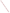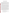## **NEW YORK CITY'S URBAN WATERSHED USE AND STANDARDS ATTAINMENT PROJECT**

## **Warren Kurtz, P.E. and John P. St. John, P.E.**

A major new effort, the Use and Standards Attainment (USA) Project, was launched by the New York City Department of Environmental Protection (DEP) in August 1999 as part of its continuing efforts to maintain and improve water quality in New York Harbor and its environs. The DEP has initiated a comprehensive watershed-based approach to consider all of the causes of non-attainment of water quality standards and opportunities and requirements for maximizing beneficial uses. These are to include shoreline uses, aquatic and riparian habitats, and benthic conditions, as well as water quality. This approach involves conducting waterbody/watershed assessments of more than 20 waterbodies in the New York Harbor complex. Stakeholder involvement will be strongly encouraged to insure a successful outcome for this initiative.

The DEP has completed facilities plans and is implementing a multi-phase program to address the impacts of combined sewer overflows (CSOs) and water pollution control plants (WPCPs) on these waterbodies. The program aims at particular water quality parameters such as dissolved oxygen, coliform bacteria, floatables, settleable solids, oil and grease, and nuisance conditions. Current DEP CSO facility plans use "knee of the curve" analyses to develop cost-effective, primarily technology-based projects that will improve water quality and mitigate nuisance problems. However, because of other sources of pollution in the watersheds, WQS will not be met in many locations even if CSOs were completely eliminated.

This situation presents a serious problem for the DEP. Even with very large capital expenditures on major CSO projects and some improvement in numerical values of key water quality parameters, full attainment of beneficial uses of waterbodies may not be achievable in many cases. Thus, the lack of attainment of WQS leaves New York City vulnerable to intervener suits and/or future actions imposed by the NYSDEC. On the other hand, non attainment of the numerical limits for key water quality parameters in the standards may not preclude attainment of many of the intended waterbody uses implied in the classifications and standards. In these cases, attainment of beneficial uses may assist the City to achieve compliance with legal requirements without meeting the standards' numerical limits.

As a result, DEP has made several recommendations to address the technical, regulatory and water quality dilemma that the City faces. These include: assessing all future water quality management projects (and reassess, as appropriate, current projects) using a water quality-based/water use analysis; reassessing CSO projects using the demonstration approach of the 1994 U.S. Environmental Protection Agency CSO Policy; using a watershed/sewershed approach; integrating all planning activities into one work plan for each watershed/sewershed; and evaluating and recommending innovative technologies and approaches to attain non-traditional goals such as riparian habitat, shoreline and access improvements and watershed management methods for benefits in addition to water quality improvements in the water column.

The proposed 15 minute presentation will focus on three topics:

- do dissolved oxygen standards need to be attained everywhere, at all times, in large urban estuaries to attain the "fishable" goal of the CWA (question 6);
- what are appropriate subcategories of recreational uses in large urban settings which satisfy the "swimmable" goal of the CWA (questions 4 and 5);
- how should UAA criteria be applied to urbanized estuaries when they were seemingly developed for freshwater streams (question 10).